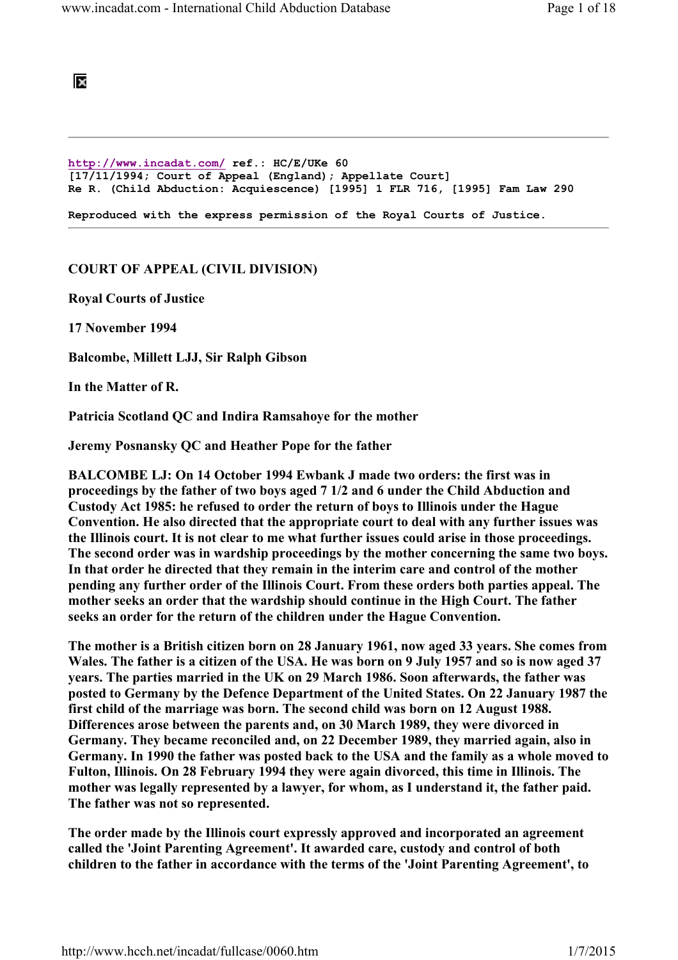# BS.

```
http://www.incadat.com/ ref.: HC/E/UKe 60 
[17/11/1994; Court of Appeal (England); Appellate Court] 
Re R. (Child Abduction: Acquiescence) [1995] 1 FLR 716, [1995] Fam Law 290 
Reproduced with the express permission of the Royal Courts of Justice.
```
## COURT OF APPEAL (CIVIL DIVISION)

Royal Courts of Justice

17 November 1994

Balcombe, Millett LJJ, Sir Ralph Gibson

In the Matter of R.

Patricia Scotland QC and Indira Ramsahoye for the mother

Jeremy Posnansky QC and Heather Pope for the father

BALCOMBE LJ: On 14 October 1994 Ewbank J made two orders: the first was in proceedings by the father of two boys aged 7 1/2 and 6 under the Child Abduction and Custody Act 1985: he refused to order the return of boys to Illinois under the Hague Convention. He also directed that the appropriate court to deal with any further issues was the Illinois court. It is not clear to me what further issues could arise in those proceedings. The second order was in wardship proceedings by the mother concerning the same two boys. In that order he directed that they remain in the interim care and control of the mother pending any further order of the Illinois Court. From these orders both parties appeal. The mother seeks an order that the wardship should continue in the High Court. The father seeks an order for the return of the children under the Hague Convention.

The mother is a British citizen born on 28 January 1961, now aged 33 years. She comes from Wales. The father is a citizen of the USA. He was born on 9 July 1957 and so is now aged 37 years. The parties married in the UK on 29 March 1986. Soon afterwards, the father was posted to Germany by the Defence Department of the United States. On 22 January 1987 the first child of the marriage was born. The second child was born on 12 August 1988. Differences arose between the parents and, on 30 March 1989, they were divorced in Germany. They became reconciled and, on 22 December 1989, they married again, also in Germany. In 1990 the father was posted back to the USA and the family as a whole moved to Fulton, Illinois. On 28 February 1994 they were again divorced, this time in Illinois. The mother was legally represented by a lawyer, for whom, as I understand it, the father paid. The father was not so represented.

The order made by the Illinois court expressly approved and incorporated an agreement called the 'Joint Parenting Agreement'. It awarded care, custody and control of both children to the father in accordance with the terms of the 'Joint Parenting Agreement', to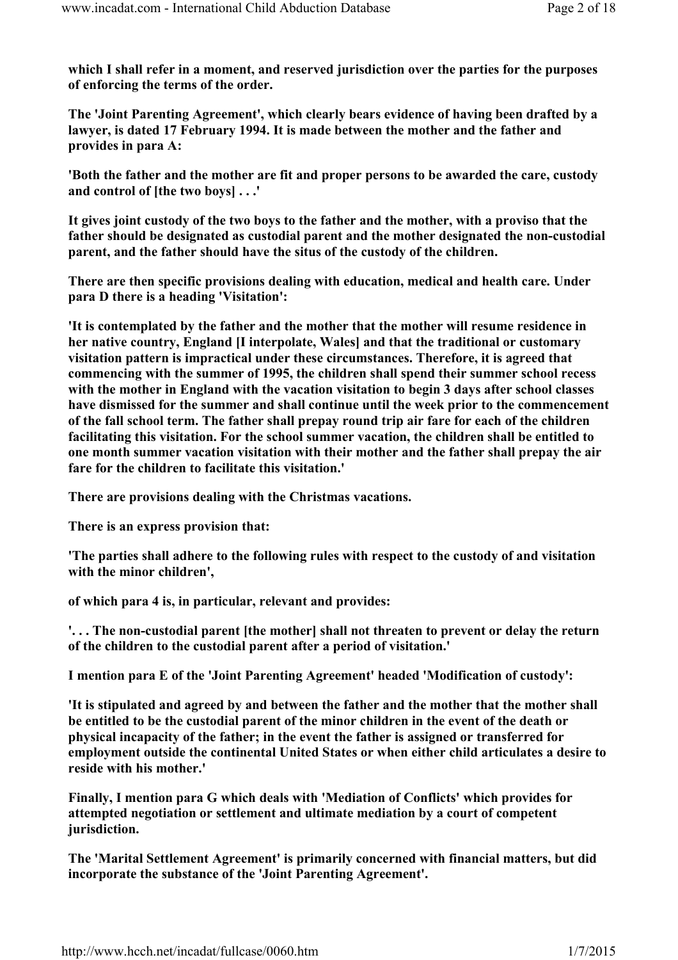which I shall refer in a moment, and reserved jurisdiction over the parties for the purposes of enforcing the terms of the order.

The 'Joint Parenting Agreement', which clearly bears evidence of having been drafted by a lawyer, is dated 17 February 1994. It is made between the mother and the father and provides in para A:

'Both the father and the mother are fit and proper persons to be awarded the care, custody and control of [the two boys] . . .'

It gives joint custody of the two boys to the father and the mother, with a proviso that the father should be designated as custodial parent and the mother designated the non-custodial parent, and the father should have the situs of the custody of the children.

There are then specific provisions dealing with education, medical and health care. Under para D there is a heading 'Visitation':

'It is contemplated by the father and the mother that the mother will resume residence in her native country, England [I interpolate, Wales] and that the traditional or customary visitation pattern is impractical under these circumstances. Therefore, it is agreed that commencing with the summer of 1995, the children shall spend their summer school recess with the mother in England with the vacation visitation to begin 3 days after school classes have dismissed for the summer and shall continue until the week prior to the commencement of the fall school term. The father shall prepay round trip air fare for each of the children facilitating this visitation. For the school summer vacation, the children shall be entitled to one month summer vacation visitation with their mother and the father shall prepay the air fare for the children to facilitate this visitation.'

There are provisions dealing with the Christmas vacations.

There is an express provision that:

'The parties shall adhere to the following rules with respect to the custody of and visitation with the minor children',

of which para 4 is, in particular, relevant and provides:

'. . . The non-custodial parent [the mother] shall not threaten to prevent or delay the return of the children to the custodial parent after a period of visitation.'

I mention para E of the 'Joint Parenting Agreement' headed 'Modification of custody':

'It is stipulated and agreed by and between the father and the mother that the mother shall be entitled to be the custodial parent of the minor children in the event of the death or physical incapacity of the father; in the event the father is assigned or transferred for employment outside the continental United States or when either child articulates a desire to reside with his mother.'

Finally, I mention para G which deals with 'Mediation of Conflicts' which provides for attempted negotiation or settlement and ultimate mediation by a court of competent jurisdiction.

The 'Marital Settlement Agreement' is primarily concerned with financial matters, but did incorporate the substance of the 'Joint Parenting Agreement'.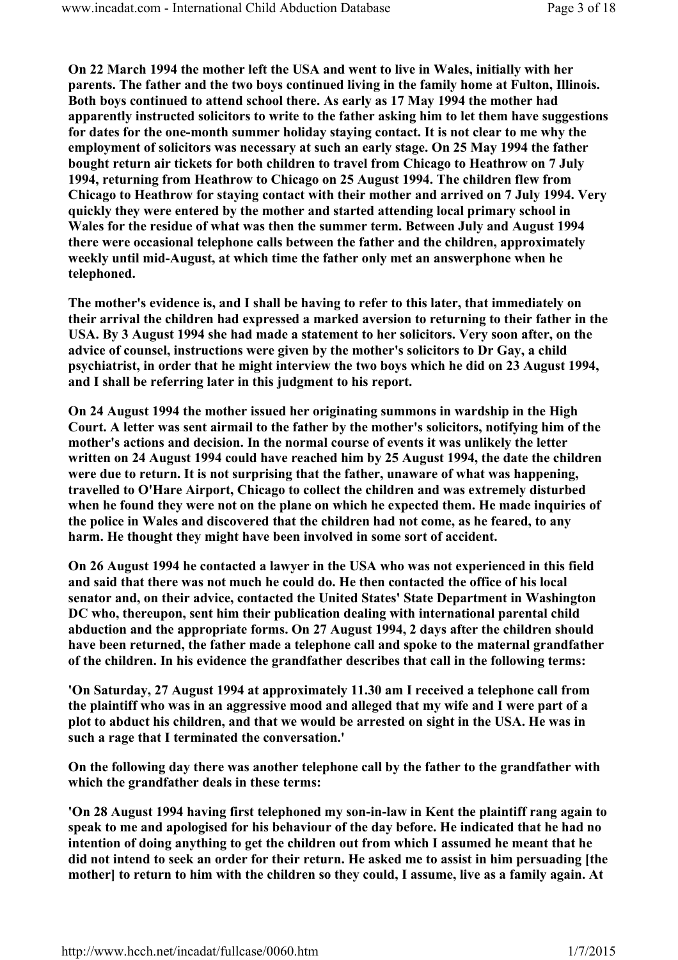On 22 March 1994 the mother left the USA and went to live in Wales, initially with her parents. The father and the two boys continued living in the family home at Fulton, Illinois. Both boys continued to attend school there. As early as 17 May 1994 the mother had apparently instructed solicitors to write to the father asking him to let them have suggestions for dates for the one-month summer holiday staying contact. It is not clear to me why the employment of solicitors was necessary at such an early stage. On 25 May 1994 the father bought return air tickets for both children to travel from Chicago to Heathrow on 7 July 1994, returning from Heathrow to Chicago on 25 August 1994. The children flew from Chicago to Heathrow for staying contact with their mother and arrived on 7 July 1994. Very quickly they were entered by the mother and started attending local primary school in Wales for the residue of what was then the summer term. Between July and August 1994 there were occasional telephone calls between the father and the children, approximately weekly until mid-August, at which time the father only met an answerphone when he telephoned.

The mother's evidence is, and I shall be having to refer to this later, that immediately on their arrival the children had expressed a marked aversion to returning to their father in the USA. By 3 August 1994 she had made a statement to her solicitors. Very soon after, on the advice of counsel, instructions were given by the mother's solicitors to Dr Gay, a child psychiatrist, in order that he might interview the two boys which he did on 23 August 1994, and I shall be referring later in this judgment to his report.

On 24 August 1994 the mother issued her originating summons in wardship in the High Court. A letter was sent airmail to the father by the mother's solicitors, notifying him of the mother's actions and decision. In the normal course of events it was unlikely the letter written on 24 August 1994 could have reached him by 25 August 1994, the date the children were due to return. It is not surprising that the father, unaware of what was happening, travelled to O'Hare Airport, Chicago to collect the children and was extremely disturbed when he found they were not on the plane on which he expected them. He made inquiries of the police in Wales and discovered that the children had not come, as he feared, to any harm. He thought they might have been involved in some sort of accident.

On 26 August 1994 he contacted a lawyer in the USA who was not experienced in this field and said that there was not much he could do. He then contacted the office of his local senator and, on their advice, contacted the United States' State Department in Washington DC who, thereupon, sent him their publication dealing with international parental child abduction and the appropriate forms. On 27 August 1994, 2 days after the children should have been returned, the father made a telephone call and spoke to the maternal grandfather of the children. In his evidence the grandfather describes that call in the following terms:

'On Saturday, 27 August 1994 at approximately 11.30 am I received a telephone call from the plaintiff who was in an aggressive mood and alleged that my wife and I were part of a plot to abduct his children, and that we would be arrested on sight in the USA. He was in such a rage that I terminated the conversation.'

On the following day there was another telephone call by the father to the grandfather with which the grandfather deals in these terms:

'On 28 August 1994 having first telephoned my son-in-law in Kent the plaintiff rang again to speak to me and apologised for his behaviour of the day before. He indicated that he had no intention of doing anything to get the children out from which I assumed he meant that he did not intend to seek an order for their return. He asked me to assist in him persuading [the mother] to return to him with the children so they could, I assume, live as a family again. At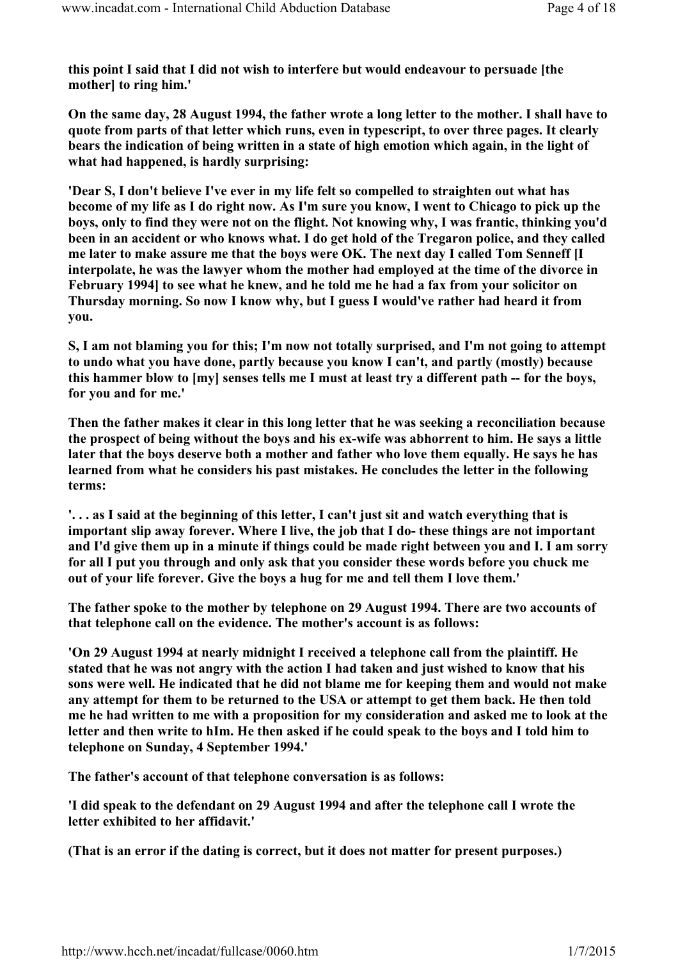this point I said that I did not wish to interfere but would endeavour to persuade [the mother] to ring him.'

On the same day, 28 August 1994, the father wrote a long letter to the mother. I shall have to quote from parts of that letter which runs, even in typescript, to over three pages. It clearly bears the indication of being written in a state of high emotion which again, in the light of what had happened, is hardly surprising:

'Dear S, I don't believe I've ever in my life felt so compelled to straighten out what has become of my life as I do right now. As I'm sure you know, I went to Chicago to pick up the boys, only to find they were not on the flight. Not knowing why, I was frantic, thinking you'd been in an accident or who knows what. I do get hold of the Tregaron police, and they called me later to make assure me that the boys were OK. The next day I called Tom Senneff [I interpolate, he was the lawyer whom the mother had employed at the time of the divorce in February 1994] to see what he knew, and he told me he had a fax from your solicitor on Thursday morning. So now I know why, but I guess I would've rather had heard it from you.

S, I am not blaming you for this; I'm now not totally surprised, and I'm not going to attempt to undo what you have done, partly because you know I can't, and partly (mostly) because this hammer blow to [my] senses tells me I must at least try a different path -- for the boys, for you and for me.'

Then the father makes it clear in this long letter that he was seeking a reconciliation because the prospect of being without the boys and his ex-wife was abhorrent to him. He says a little later that the boys deserve both a mother and father who love them equally. He says he has learned from what he considers his past mistakes. He concludes the letter in the following terms:

'. . . as I said at the beginning of this letter, I can't just sit and watch everything that is important slip away forever. Where I live, the job that I do- these things are not important and I'd give them up in a minute if things could be made right between you and I. I am sorry for all I put you through and only ask that you consider these words before you chuck me out of your life forever. Give the boys a hug for me and tell them I love them.'

The father spoke to the mother by telephone on 29 August 1994. There are two accounts of that telephone call on the evidence. The mother's account is as follows:

'On 29 August 1994 at nearly midnight I received a telephone call from the plaintiff. He stated that he was not angry with the action I had taken and just wished to know that his sons were well. He indicated that he did not blame me for keeping them and would not make any attempt for them to be returned to the USA or attempt to get them back. He then told me he had written to me with a proposition for my consideration and asked me to look at the letter and then write to hIm. He then asked if he could speak to the boys and I told him to telephone on Sunday, 4 September 1994.'

The father's account of that telephone conversation is as follows:

'I did speak to the defendant on 29 August 1994 and after the telephone call I wrote the letter exhibited to her affidavit.'

(That is an error if the dating is correct, but it does not matter for present purposes.)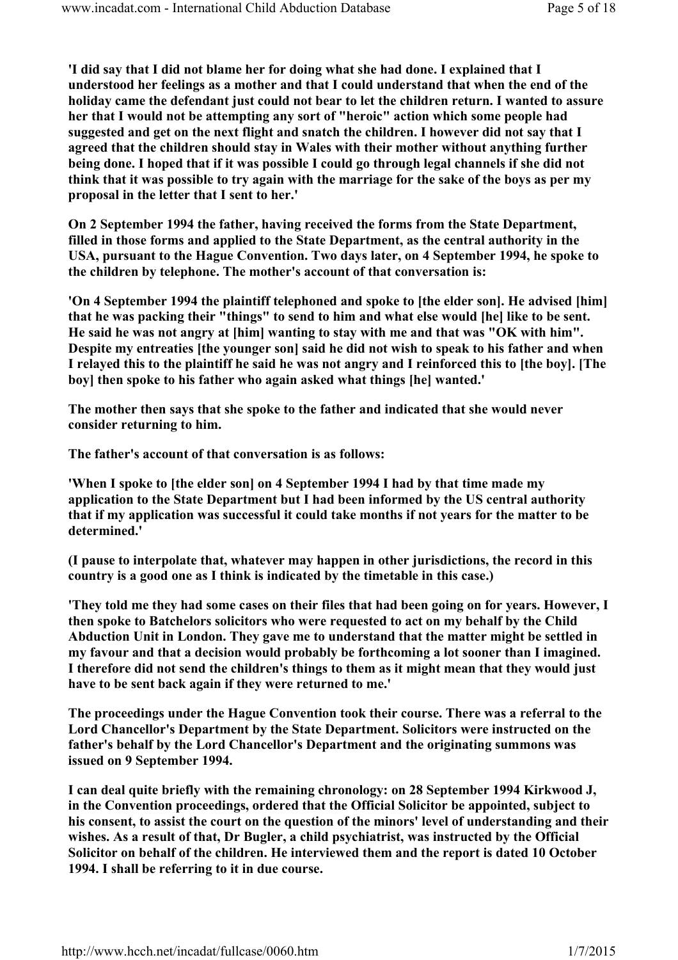'I did say that I did not blame her for doing what she had done. I explained that I understood her feelings as a mother and that I could understand that when the end of the holiday came the defendant just could not bear to let the children return. I wanted to assure her that I would not be attempting any sort of "heroic" action which some people had suggested and get on the next flight and snatch the children. I however did not say that I agreed that the children should stay in Wales with their mother without anything further being done. I hoped that if it was possible I could go through legal channels if she did not think that it was possible to try again with the marriage for the sake of the boys as per my proposal in the letter that I sent to her.'

On 2 September 1994 the father, having received the forms from the State Department, filled in those forms and applied to the State Department, as the central authority in the USA, pursuant to the Hague Convention. Two days later, on 4 September 1994, he spoke to the children by telephone. The mother's account of that conversation is:

'On 4 September 1994 the plaintiff telephoned and spoke to [the elder son]. He advised [him] that he was packing their "things" to send to him and what else would [he] like to be sent. He said he was not angry at [him] wanting to stay with me and that was "OK with him". Despite my entreaties [the younger son] said he did not wish to speak to his father and when I relayed this to the plaintiff he said he was not angry and I reinforced this to [the boy]. [The boy] then spoke to his father who again asked what things [he] wanted.'

The mother then says that she spoke to the father and indicated that she would never consider returning to him.

The father's account of that conversation is as follows:

'When I spoke to [the elder son] on 4 September 1994 I had by that time made my application to the State Department but I had been informed by the US central authority that if my application was successful it could take months if not years for the matter to be determined.'

(I pause to interpolate that, whatever may happen in other jurisdictions, the record in this country is a good one as I think is indicated by the timetable in this case.)

'They told me they had some cases on their files that had been going on for years. However, I then spoke to Batchelors solicitors who were requested to act on my behalf by the Child Abduction Unit in London. They gave me to understand that the matter might be settled in my favour and that a decision would probably be forthcoming a lot sooner than I imagined. I therefore did not send the children's things to them as it might mean that they would just have to be sent back again if they were returned to me.'

The proceedings under the Hague Convention took their course. There was a referral to the Lord Chancellor's Department by the State Department. Solicitors were instructed on the father's behalf by the Lord Chancellor's Department and the originating summons was issued on 9 September 1994.

I can deal quite briefly with the remaining chronology: on 28 September 1994 Kirkwood J, in the Convention proceedings, ordered that the Official Solicitor be appointed, subject to his consent, to assist the court on the question of the minors' level of understanding and their wishes. As a result of that, Dr Bugler, a child psychiatrist, was instructed by the Official Solicitor on behalf of the children. He interviewed them and the report is dated 10 October 1994. I shall be referring to it in due course.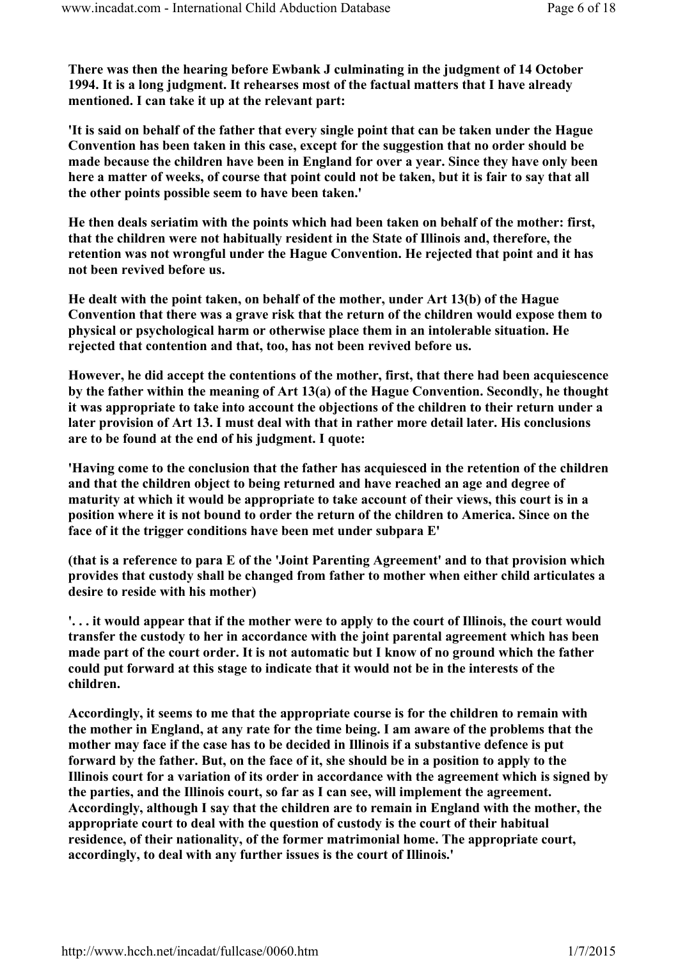There was then the hearing before Ewbank J culminating in the judgment of 14 October 1994. It is a long judgment. It rehearses most of the factual matters that I have already mentioned. I can take it up at the relevant part:

'It is said on behalf of the father that every single point that can be taken under the Hague Convention has been taken in this case, except for the suggestion that no order should be made because the children have been in England for over a year. Since they have only been here a matter of weeks, of course that point could not be taken, but it is fair to say that all the other points possible seem to have been taken.'

He then deals seriatim with the points which had been taken on behalf of the mother: first, that the children were not habitually resident in the State of Illinois and, therefore, the retention was not wrongful under the Hague Convention. He rejected that point and it has not been revived before us.

He dealt with the point taken, on behalf of the mother, under Art 13(b) of the Hague Convention that there was a grave risk that the return of the children would expose them to physical or psychological harm or otherwise place them in an intolerable situation. He rejected that contention and that, too, has not been revived before us.

However, he did accept the contentions of the mother, first, that there had been acquiescence by the father within the meaning of Art 13(a) of the Hague Convention. Secondly, he thought it was appropriate to take into account the objections of the children to their return under a later provision of Art 13. I must deal with that in rather more detail later. His conclusions are to be found at the end of his judgment. I quote:

'Having come to the conclusion that the father has acquiesced in the retention of the children and that the children object to being returned and have reached an age and degree of maturity at which it would be appropriate to take account of their views, this court is in a position where it is not bound to order the return of the children to America. Since on the face of it the trigger conditions have been met under subpara E'

(that is a reference to para E of the 'Joint Parenting Agreement' and to that provision which provides that custody shall be changed from father to mother when either child articulates a desire to reside with his mother)

'. . . it would appear that if the mother were to apply to the court of Illinois, the court would transfer the custody to her in accordance with the joint parental agreement which has been made part of the court order. It is not automatic but I know of no ground which the father could put forward at this stage to indicate that it would not be in the interests of the children.

Accordingly, it seems to me that the appropriate course is for the children to remain with the mother in England, at any rate for the time being. I am aware of the problems that the mother may face if the case has to be decided in Illinois if a substantive defence is put forward by the father. But, on the face of it, she should be in a position to apply to the Illinois court for a variation of its order in accordance with the agreement which is signed by the parties, and the Illinois court, so far as I can see, will implement the agreement. Accordingly, although I say that the children are to remain in England with the mother, the appropriate court to deal with the question of custody is the court of their habitual residence, of their nationality, of the former matrimonial home. The appropriate court, accordingly, to deal with any further issues is the court of Illinois.'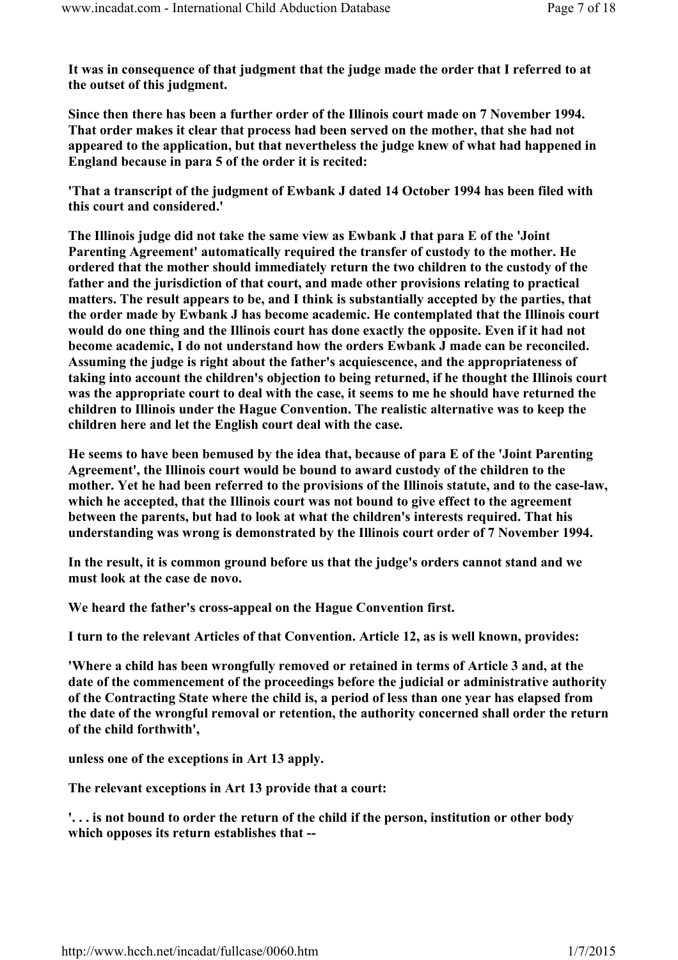It was in consequence of that judgment that the judge made the order that I referred to at the outset of this judgment.

Since then there has been a further order of the Illinois court made on 7 November 1994. That order makes it clear that process had been served on the mother, that she had not appeared to the application, but that nevertheless the judge knew of what had happened in England because in para 5 of the order it is recited:

'That a transcript of the judgment of Ewbank J dated 14 October 1994 has been filed with this court and considered.'

The Illinois judge did not take the same view as Ewbank J that para E of the 'Joint Parenting Agreement' automatically required the transfer of custody to the mother. He ordered that the mother should immediately return the two children to the custody of the father and the jurisdiction of that court, and made other provisions relating to practical matters. The result appears to be, and I think is substantially accepted by the parties, that the order made by Ewbank J has become academic. He contemplated that the Illinois court would do one thing and the Illinois court has done exactly the opposite. Even if it had not become academic, I do not understand how the orders Ewbank J made can be reconciled. Assuming the judge is right about the father's acquiescence, and the appropriateness of taking into account the children's objection to being returned, if he thought the Illinois court was the appropriate court to deal with the case, it seems to me he should have returned the children to Illinois under the Hague Convention. The realistic alternative was to keep the children here and let the English court deal with the case.

He seems to have been bemused by the idea that, because of para E of the 'Joint Parenting Agreement', the Illinois court would be bound to award custody of the children to the mother. Yet he had been referred to the provisions of the Illinois statute, and to the case-law, which he accepted, that the Illinois court was not bound to give effect to the agreement between the parents, but had to look at what the children's interests required. That his understanding was wrong is demonstrated by the Illinois court order of 7 November 1994.

In the result, it is common ground before us that the judge's orders cannot stand and we must look at the case de novo.

We heard the father's cross-appeal on the Hague Convention first.

I turn to the relevant Articles of that Convention. Article 12, as is well known, provides:

'Where a child has been wrongfully removed or retained in terms of Article 3 and, at the date of the commencement of the proceedings before the judicial or administrative authority of the Contracting State where the child is, a period of less than one year has elapsed from the date of the wrongful removal or retention, the authority concerned shall order the return of the child forthwith',

unless one of the exceptions in Art 13 apply.

The relevant exceptions in Art 13 provide that a court:

'. . . is not bound to order the return of the child if the person, institution or other body which opposes its return establishes that --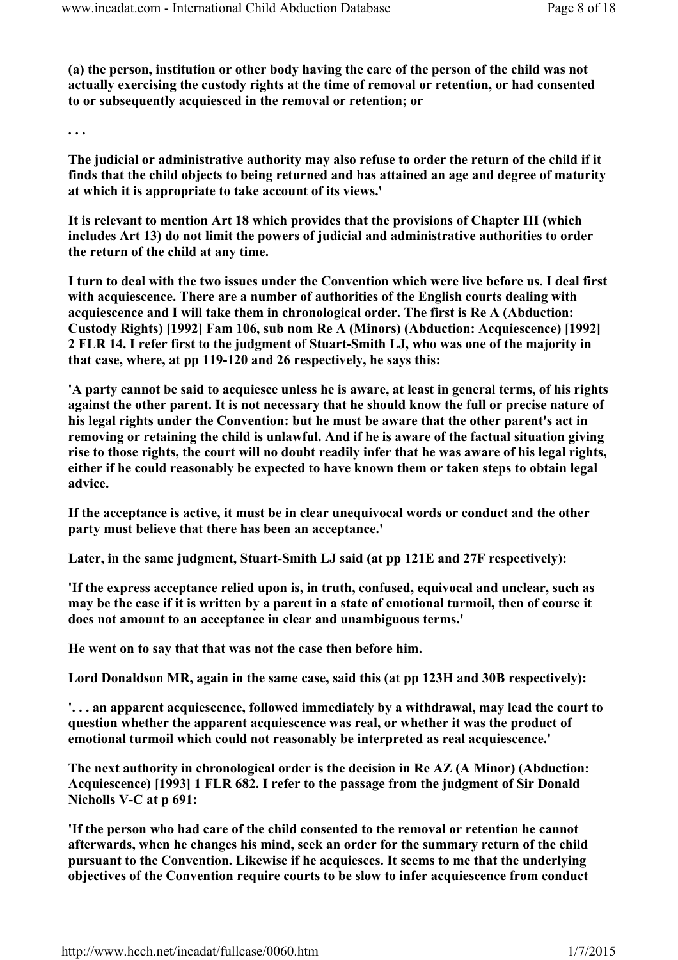(a) the person, institution or other body having the care of the person of the child was not actually exercising the custody rights at the time of removal or retention, or had consented to or subsequently acquiesced in the removal or retention; or

. . .

The judicial or administrative authority may also refuse to order the return of the child if it finds that the child objects to being returned and has attained an age and degree of maturity at which it is appropriate to take account of its views.'

It is relevant to mention Art 18 which provides that the provisions of Chapter III (which includes Art 13) do not limit the powers of judicial and administrative authorities to order the return of the child at any time.

I turn to deal with the two issues under the Convention which were live before us. I deal first with acquiescence. There are a number of authorities of the English courts dealing with acquiescence and I will take them in chronological order. The first is Re A (Abduction: Custody Rights) [1992] Fam 106, sub nom Re A (Minors) (Abduction: Acquiescence) [1992] 2 FLR 14. I refer first to the judgment of Stuart-Smith LJ, who was one of the majority in that case, where, at pp 119-120 and 26 respectively, he says this:

'A party cannot be said to acquiesce unless he is aware, at least in general terms, of his rights against the other parent. It is not necessary that he should know the full or precise nature of his legal rights under the Convention: but he must be aware that the other parent's act in removing or retaining the child is unlawful. And if he is aware of the factual situation giving rise to those rights, the court will no doubt readily infer that he was aware of his legal rights, either if he could reasonably be expected to have known them or taken steps to obtain legal advice.

If the acceptance is active, it must be in clear unequivocal words or conduct and the other party must believe that there has been an acceptance.'

Later, in the same judgment, Stuart-Smith LJ said (at pp 121E and 27F respectively):

'If the express acceptance relied upon is, in truth, confused, equivocal and unclear, such as may be the case if it is written by a parent in a state of emotional turmoil, then of course it does not amount to an acceptance in clear and unambiguous terms.'

He went on to say that that was not the case then before him.

Lord Donaldson MR, again in the same case, said this (at pp 123H and 30B respectively):

'. . . an apparent acquiescence, followed immediately by a withdrawal, may lead the court to question whether the apparent acquiescence was real, or whether it was the product of emotional turmoil which could not reasonably be interpreted as real acquiescence.'

The next authority in chronological order is the decision in Re AZ (A Minor) (Abduction: Acquiescence) [1993] 1 FLR 682. I refer to the passage from the judgment of Sir Donald Nicholls V-C at p 691:

'If the person who had care of the child consented to the removal or retention he cannot afterwards, when he changes his mind, seek an order for the summary return of the child pursuant to the Convention. Likewise if he acquiesces. It seems to me that the underlying objectives of the Convention require courts to be slow to infer acquiescence from conduct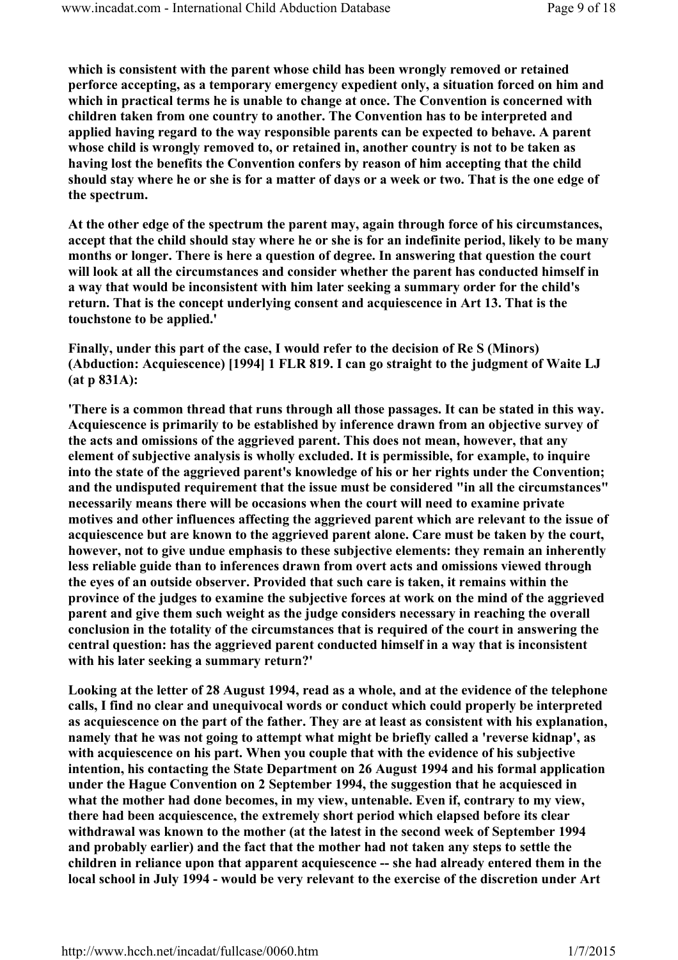which is consistent with the parent whose child has been wrongly removed or retained perforce accepting, as a temporary emergency expedient only, a situation forced on him and which in practical terms he is unable to change at once. The Convention is concerned with children taken from one country to another. The Convention has to be interpreted and applied having regard to the way responsible parents can be expected to behave. A parent whose child is wrongly removed to, or retained in, another country is not to be taken as having lost the benefits the Convention confers by reason of him accepting that the child should stay where he or she is for a matter of days or a week or two. That is the one edge of the spectrum.

At the other edge of the spectrum the parent may, again through force of his circumstances, accept that the child should stay where he or she is for an indefinite period, likely to be many months or longer. There is here a question of degree. In answering that question the court will look at all the circumstances and consider whether the parent has conducted himself in a way that would be inconsistent with him later seeking a summary order for the child's return. That is the concept underlying consent and acquiescence in Art 13. That is the touchstone to be applied.'

Finally, under this part of the case, I would refer to the decision of Re S (Minors) (Abduction: Acquiescence) [1994] 1 FLR 819. I can go straight to the judgment of Waite LJ (at p 831A):

'There is a common thread that runs through all those passages. It can be stated in this way. Acquiescence is primarily to be established by inference drawn from an objective survey of the acts and omissions of the aggrieved parent. This does not mean, however, that any element of subjective analysis is wholly excluded. It is permissible, for example, to inquire into the state of the aggrieved parent's knowledge of his or her rights under the Convention; and the undisputed requirement that the issue must be considered "in all the circumstances" necessarily means there will be occasions when the court will need to examine private motives and other influences affecting the aggrieved parent which are relevant to the issue of acquiescence but are known to the aggrieved parent alone. Care must be taken by the court, however, not to give undue emphasis to these subjective elements: they remain an inherently less reliable guide than to inferences drawn from overt acts and omissions viewed through the eyes of an outside observer. Provided that such care is taken, it remains within the province of the judges to examine the subjective forces at work on the mind of the aggrieved parent and give them such weight as the judge considers necessary in reaching the overall conclusion in the totality of the circumstances that is required of the court in answering the central question: has the aggrieved parent conducted himself in a way that is inconsistent with his later seeking a summary return?'

Looking at the letter of 28 August 1994, read as a whole, and at the evidence of the telephone calls, I find no clear and unequivocal words or conduct which could properly be interpreted as acquiescence on the part of the father. They are at least as consistent with his explanation, namely that he was not going to attempt what might be briefly called a 'reverse kidnap', as with acquiescence on his part. When you couple that with the evidence of his subjective intention, his contacting the State Department on 26 August 1994 and his formal application under the Hague Convention on 2 September 1994, the suggestion that he acquiesced in what the mother had done becomes, in my view, untenable. Even if, contrary to my view, there had been acquiescence, the extremely short period which elapsed before its clear withdrawal was known to the mother (at the latest in the second week of September 1994 and probably earlier) and the fact that the mother had not taken any steps to settle the children in reliance upon that apparent acquiescence -- she had already entered them in the local school in July 1994 - would be very relevant to the exercise of the discretion under Art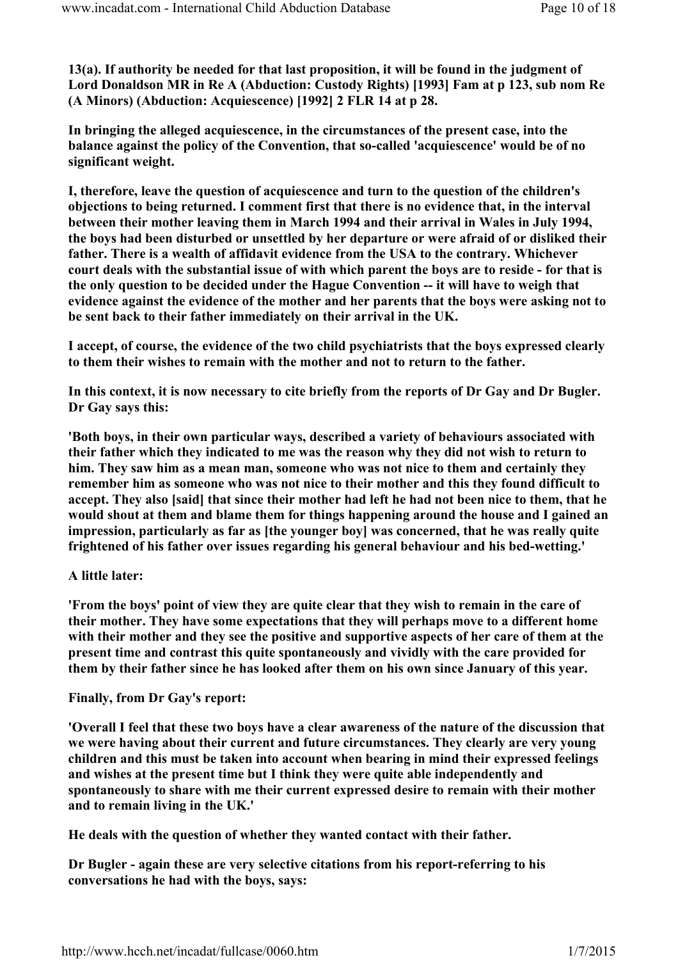13(a). If authority be needed for that last proposition, it will be found in the judgment of Lord Donaldson MR in Re A (Abduction: Custody Rights) [1993] Fam at p 123, sub nom Re (A Minors) (Abduction: Acquiescence) [1992] 2 FLR 14 at p 28.

In bringing the alleged acquiescence, in the circumstances of the present case, into the balance against the policy of the Convention, that so-called 'acquiescence' would be of no significant weight.

I, therefore, leave the question of acquiescence and turn to the question of the children's objections to being returned. I comment first that there is no evidence that, in the interval between their mother leaving them in March 1994 and their arrival in Wales in July 1994, the boys had been disturbed or unsettled by her departure or were afraid of or disliked their father. There is a wealth of affidavit evidence from the USA to the contrary. Whichever court deals with the substantial issue of with which parent the boys are to reside - for that is the only question to be decided under the Hague Convention -- it will have to weigh that evidence against the evidence of the mother and her parents that the boys were asking not to be sent back to their father immediately on their arrival in the UK.

I accept, of course, the evidence of the two child psychiatrists that the boys expressed clearly to them their wishes to remain with the mother and not to return to the father.

In this context, it is now necessary to cite briefly from the reports of Dr Gay and Dr Bugler. Dr Gay says this:

'Both boys, in their own particular ways, described a variety of behaviours associated with their father which they indicated to me was the reason why they did not wish to return to him. They saw him as a mean man, someone who was not nice to them and certainly they remember him as someone who was not nice to their mother and this they found difficult to accept. They also [said] that since their mother had left he had not been nice to them, that he would shout at them and blame them for things happening around the house and I gained an impression, particularly as far as [the younger boy] was concerned, that he was really quite frightened of his father over issues regarding his general behaviour and his bed-wetting.'

## A little later:

'From the boys' point of view they are quite clear that they wish to remain in the care of their mother. They have some expectations that they will perhaps move to a different home with their mother and they see the positive and supportive aspects of her care of them at the present time and contrast this quite spontaneously and vividly with the care provided for them by their father since he has looked after them on his own since January of this year.

## Finally, from Dr Gay's report:

'Overall I feel that these two boys have a clear awareness of the nature of the discussion that we were having about their current and future circumstances. They clearly are very young children and this must be taken into account when bearing in mind their expressed feelings and wishes at the present time but I think they were quite able independently and spontaneously to share with me their current expressed desire to remain with their mother and to remain living in the UK.'

He deals with the question of whether they wanted contact with their father.

Dr Bugler - again these are very selective citations from his report-referring to his conversations he had with the boys, says: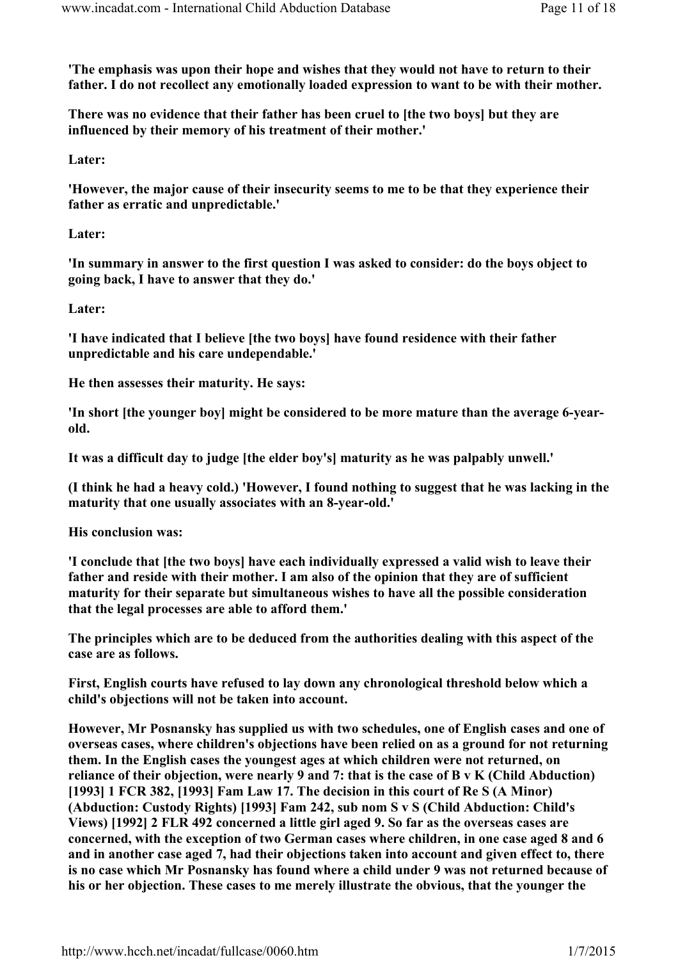'The emphasis was upon their hope and wishes that they would not have to return to their father. I do not recollect any emotionally loaded expression to want to be with their mother.

There was no evidence that their father has been cruel to [the two boys] but they are influenced by their memory of his treatment of their mother.'

Later:

'However, the major cause of their insecurity seems to me to be that they experience their father as erratic and unpredictable.'

Later:

'In summary in answer to the first question I was asked to consider: do the boys object to going back, I have to answer that they do.'

Later:

'I have indicated that I believe [the two boys] have found residence with their father unpredictable and his care undependable.'

He then assesses their maturity. He says:

'In short [the younger boy] might be considered to be more mature than the average 6-yearold.

It was a difficult day to judge [the elder boy's] maturity as he was palpably unwell.'

(I think he had a heavy cold.) 'However, I found nothing to suggest that he was lacking in the maturity that one usually associates with an 8-year-old.'

His conclusion was:

'I conclude that [the two boys] have each individually expressed a valid wish to leave their father and reside with their mother. I am also of the opinion that they are of sufficient maturity for their separate but simultaneous wishes to have all the possible consideration that the legal processes are able to afford them.'

The principles which are to be deduced from the authorities dealing with this aspect of the case are as follows.

First, English courts have refused to lay down any chronological threshold below which a child's objections will not be taken into account.

However, Mr Posnansky has supplied us with two schedules, one of English cases and one of overseas cases, where children's objections have been relied on as a ground for not returning them. In the English cases the youngest ages at which children were not returned, on reliance of their objection, were nearly 9 and 7: that is the case of B v K (Child Abduction) [1993] 1 FCR 382, [1993] Fam Law 17. The decision in this court of Re S (A Minor) (Abduction: Custody Rights) [1993] Fam 242, sub nom S v S (Child Abduction: Child's Views) [1992] 2 FLR 492 concerned a little girl aged 9. So far as the overseas cases are concerned, with the exception of two German cases where children, in one case aged 8 and 6 and in another case aged 7, had their objections taken into account and given effect to, there is no case which Mr Posnansky has found where a child under 9 was not returned because of his or her objection. These cases to me merely illustrate the obvious, that the younger the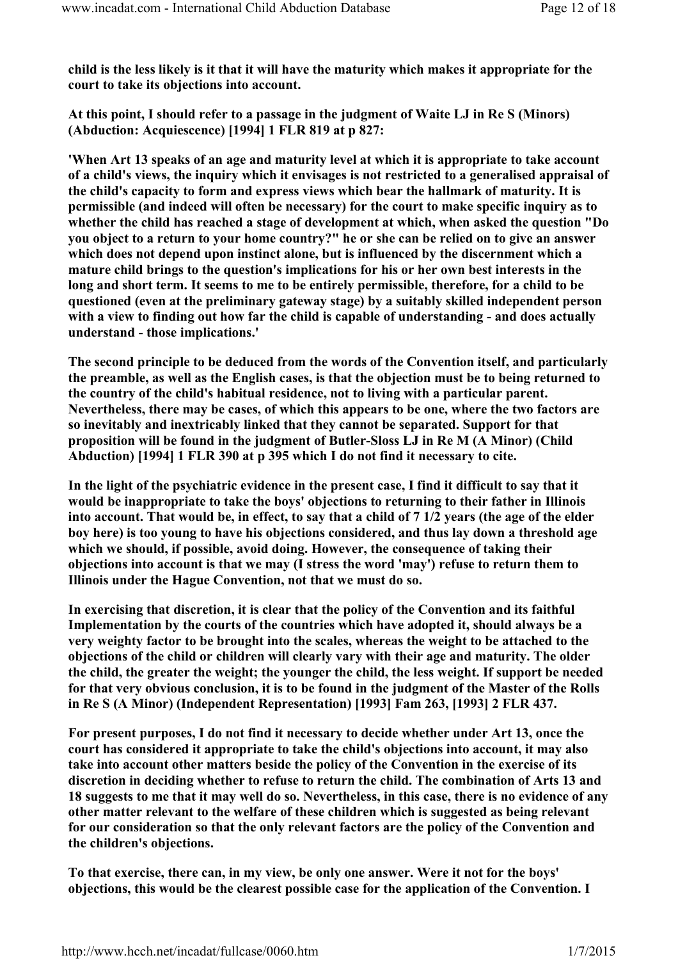child is the less likely is it that it will have the maturity which makes it appropriate for the court to take its objections into account.

At this point, I should refer to a passage in the judgment of Waite LJ in Re S (Minors) (Abduction: Acquiescence) [1994] 1 FLR 819 at p 827:

'When Art 13 speaks of an age and maturity level at which it is appropriate to take account of a child's views, the inquiry which it envisages is not restricted to a generalised appraisal of the child's capacity to form and express views which bear the hallmark of maturity. It is permissible (and indeed will often be necessary) for the court to make specific inquiry as to whether the child has reached a stage of development at which, when asked the question "Do you object to a return to your home country?" he or she can be relied on to give an answer which does not depend upon instinct alone, but is influenced by the discernment which a mature child brings to the question's implications for his or her own best interests in the long and short term. It seems to me to be entirely permissible, therefore, for a child to be questioned (even at the preliminary gateway stage) by a suitably skilled independent person with a view to finding out how far the child is capable of understanding - and does actually understand - those implications.'

The second principle to be deduced from the words of the Convention itself, and particularly the preamble, as well as the English cases, is that the objection must be to being returned to the country of the child's habitual residence, not to living with a particular parent. Nevertheless, there may be cases, of which this appears to be one, where the two factors are so inevitably and inextricably linked that they cannot be separated. Support for that proposition will be found in the judgment of Butler-Sloss LJ in Re M (A Minor) (Child Abduction) [1994] 1 FLR 390 at p 395 which I do not find it necessary to cite.

In the light of the psychiatric evidence in the present case, I find it difficult to say that it would be inappropriate to take the boys' objections to returning to their father in Illinois into account. That would be, in effect, to say that a child of 7 1/2 years (the age of the elder boy here) is too young to have his objections considered, and thus lay down a threshold age which we should, if possible, avoid doing. However, the consequence of taking their objections into account is that we may (I stress the word 'may') refuse to return them to Illinois under the Hague Convention, not that we must do so.

In exercising that discretion, it is clear that the policy of the Convention and its faithful Implementation by the courts of the countries which have adopted it, should always be a very weighty factor to be brought into the scales, whereas the weight to be attached to the objections of the child or children will clearly vary with their age and maturity. The older the child, the greater the weight; the younger the child, the less weight. If support be needed for that very obvious conclusion, it is to be found in the judgment of the Master of the Rolls in Re S (A Minor) (Independent Representation) [1993] Fam 263, [1993] 2 FLR 437.

For present purposes, I do not find it necessary to decide whether under Art 13, once the court has considered it appropriate to take the child's objections into account, it may also take into account other matters beside the policy of the Convention in the exercise of its discretion in deciding whether to refuse to return the child. The combination of Arts 13 and 18 suggests to me that it may well do so. Nevertheless, in this case, there is no evidence of any other matter relevant to the welfare of these children which is suggested as being relevant for our consideration so that the only relevant factors are the policy of the Convention and the children's objections.

To that exercise, there can, in my view, be only one answer. Were it not for the boys' objections, this would be the clearest possible case for the application of the Convention. I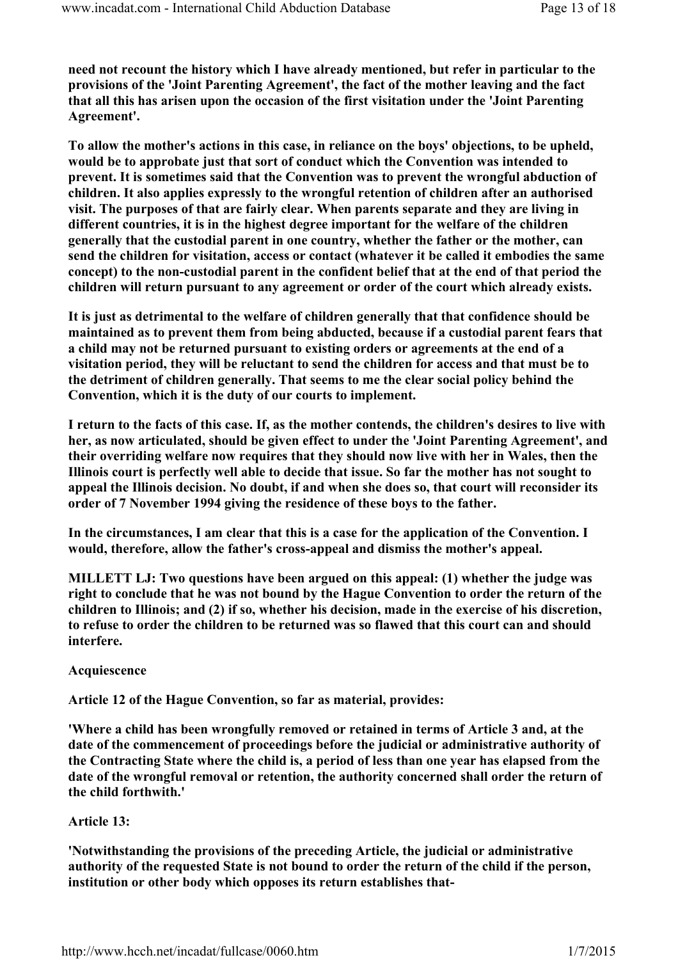need not recount the history which I have already mentioned, but refer in particular to the provisions of the 'Joint Parenting Agreement', the fact of the mother leaving and the fact that all this has arisen upon the occasion of the first visitation under the 'Joint Parenting Agreement'.

To allow the mother's actions in this case, in reliance on the boys' objections, to be upheld, would be to approbate just that sort of conduct which the Convention was intended to prevent. It is sometimes said that the Convention was to prevent the wrongful abduction of children. It also applies expressly to the wrongful retention of children after an authorised visit. The purposes of that are fairly clear. When parents separate and they are living in different countries, it is in the highest degree important for the welfare of the children generally that the custodial parent in one country, whether the father or the mother, can send the children for visitation, access or contact (whatever it be called it embodies the same concept) to the non-custodial parent in the confident belief that at the end of that period the children will return pursuant to any agreement or order of the court which already exists.

It is just as detrimental to the welfare of children generally that that confidence should be maintained as to prevent them from being abducted, because if a custodial parent fears that a child may not be returned pursuant to existing orders or agreements at the end of a visitation period, they will be reluctant to send the children for access and that must be to the detriment of children generally. That seems to me the clear social policy behind the Convention, which it is the duty of our courts to implement.

I return to the facts of this case. If, as the mother contends, the children's desires to live with her, as now articulated, should be given effect to under the 'Joint Parenting Agreement', and their overriding welfare now requires that they should now live with her in Wales, then the Illinois court is perfectly well able to decide that issue. So far the mother has not sought to appeal the Illinois decision. No doubt, if and when she does so, that court will reconsider its order of 7 November 1994 giving the residence of these boys to the father.

In the circumstances, I am clear that this is a case for the application of the Convention. I would, therefore, allow the father's cross-appeal and dismiss the mother's appeal.

MILLETT LJ: Two questions have been argued on this appeal: (1) whether the judge was right to conclude that he was not bound by the Hague Convention to order the return of the children to Illinois; and (2) if so, whether his decision, made in the exercise of his discretion, to refuse to order the children to be returned was so flawed that this court can and should interfere.

Acquiescence

Article 12 of the Hague Convention, so far as material, provides:

'Where a child has been wrongfully removed or retained in terms of Article 3 and, at the date of the commencement of proceedings before the judicial or administrative authority of the Contracting State where the child is, a period of less than one year has elapsed from the date of the wrongful removal or retention, the authority concerned shall order the return of the child forthwith.'

## Article 13:

'Notwithstanding the provisions of the preceding Article, the judicial or administrative authority of the requested State is not bound to order the return of the child if the person, institution or other body which opposes its return establishes that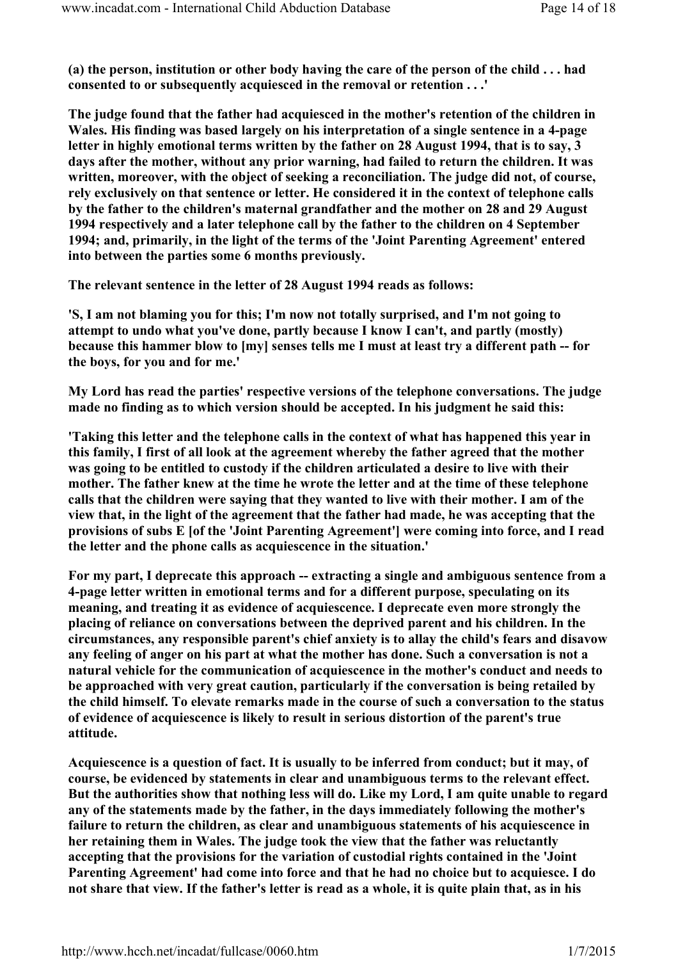(a) the person, institution or other body having the care of the person of the child . . . had consented to or subsequently acquiesced in the removal or retention . . .'

The judge found that the father had acquiesced in the mother's retention of the children in Wales. His finding was based largely on his interpretation of a single sentence in a 4-page letter in highly emotional terms written by the father on 28 August 1994, that is to say, 3 days after the mother, without any prior warning, had failed to return the children. It was written, moreover, with the object of seeking a reconciliation. The judge did not, of course, rely exclusively on that sentence or letter. He considered it in the context of telephone calls by the father to the children's maternal grandfather and the mother on 28 and 29 August 1994 respectively and a later telephone call by the father to the children on 4 September 1994; and, primarily, in the light of the terms of the 'Joint Parenting Agreement' entered into between the parties some 6 months previously.

The relevant sentence in the letter of 28 August 1994 reads as follows:

'S, I am not blaming you for this; I'm now not totally surprised, and I'm not going to attempt to undo what you've done, partly because I know I can't, and partly (mostly) because this hammer blow to [my] senses tells me I must at least try a different path -- for the boys, for you and for me.'

My Lord has read the parties' respective versions of the telephone conversations. The judge made no finding as to which version should be accepted. In his judgment he said this:

'Taking this letter and the telephone calls in the context of what has happened this year in this family, I first of all look at the agreement whereby the father agreed that the mother was going to be entitled to custody if the children articulated a desire to live with their mother. The father knew at the time he wrote the letter and at the time of these telephone calls that the children were saying that they wanted to live with their mother. I am of the view that, in the light of the agreement that the father had made, he was accepting that the provisions of subs E [of the 'Joint Parenting Agreement'] were coming into force, and I read the letter and the phone calls as acquiescence in the situation.'

For my part, I deprecate this approach -- extracting a single and ambiguous sentence from a 4-page letter written in emotional terms and for a different purpose, speculating on its meaning, and treating it as evidence of acquiescence. I deprecate even more strongly the placing of reliance on conversations between the deprived parent and his children. In the circumstances, any responsible parent's chief anxiety is to allay the child's fears and disavow any feeling of anger on his part at what the mother has done. Such a conversation is not a natural vehicle for the communication of acquiescence in the mother's conduct and needs to be approached with very great caution, particularly if the conversation is being retailed by the child himself. To elevate remarks made in the course of such a conversation to the status of evidence of acquiescence is likely to result in serious distortion of the parent's true attitude.

Acquiescence is a question of fact. It is usually to be inferred from conduct; but it may, of course, be evidenced by statements in clear and unambiguous terms to the relevant effect. But the authorities show that nothing less will do. Like my Lord, I am quite unable to regard any of the statements made by the father, in the days immediately following the mother's failure to return the children, as clear and unambiguous statements of his acquiescence in her retaining them in Wales. The judge took the view that the father was reluctantly accepting that the provisions for the variation of custodial rights contained in the 'Joint Parenting Agreement' had come into force and that he had no choice but to acquiesce. I do not share that view. If the father's letter is read as a whole, it is quite plain that, as in his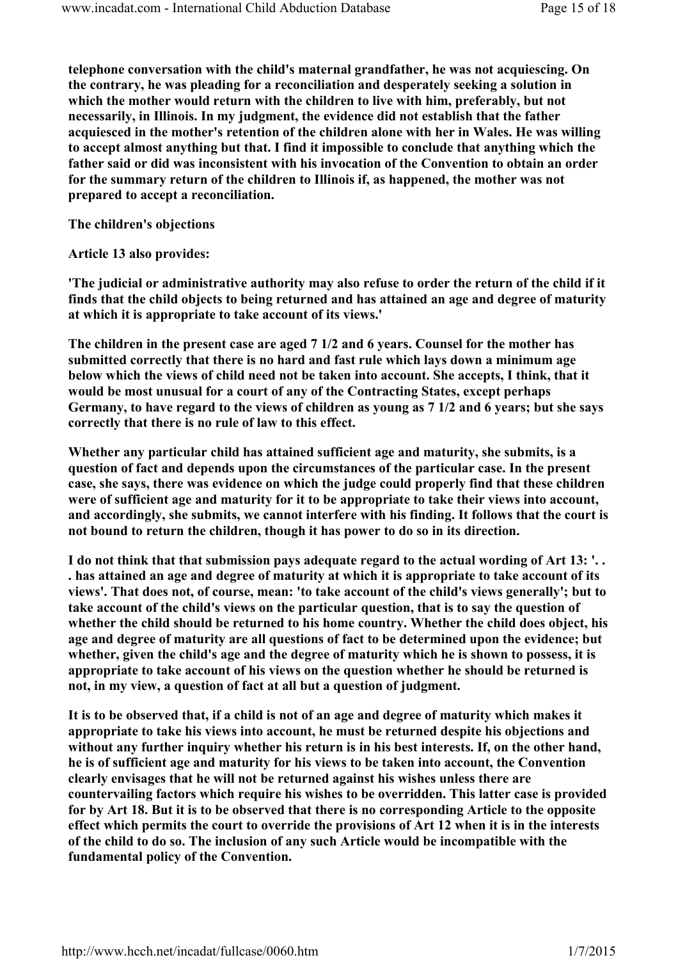telephone conversation with the child's maternal grandfather, he was not acquiescing. On the contrary, he was pleading for a reconciliation and desperately seeking a solution in which the mother would return with the children to live with him, preferably, but not necessarily, in Illinois. In my judgment, the evidence did not establish that the father acquiesced in the mother's retention of the children alone with her in Wales. He was willing to accept almost anything but that. I find it impossible to conclude that anything which the father said or did was inconsistent with his invocation of the Convention to obtain an order for the summary return of the children to Illinois if, as happened, the mother was not prepared to accept a reconciliation.

The children's objections

Article 13 also provides:

'The judicial or administrative authority may also refuse to order the return of the child if it finds that the child objects to being returned and has attained an age and degree of maturity at which it is appropriate to take account of its views.'

The children in the present case are aged 7 1/2 and 6 years. Counsel for the mother has submitted correctly that there is no hard and fast rule which lays down a minimum age below which the views of child need not be taken into account. She accepts, I think, that it would be most unusual for a court of any of the Contracting States, except perhaps Germany, to have regard to the views of children as young as 7 1/2 and 6 years; but she says correctly that there is no rule of law to this effect.

Whether any particular child has attained sufficient age and maturity, she submits, is a question of fact and depends upon the circumstances of the particular case. In the present case, she says, there was evidence on which the judge could properly find that these children were of sufficient age and maturity for it to be appropriate to take their views into account, and accordingly, she submits, we cannot interfere with his finding. It follows that the court is not bound to return the children, though it has power to do so in its direction.

I do not think that that submission pays adequate regard to the actual wording of Art 13: '. . . has attained an age and degree of maturity at which it is appropriate to take account of its views'. That does not, of course, mean: 'to take account of the child's views generally'; but to take account of the child's views on the particular question, that is to say the question of whether the child should be returned to his home country. Whether the child does object, his age and degree of maturity are all questions of fact to be determined upon the evidence; but whether, given the child's age and the degree of maturity which he is shown to possess, it is appropriate to take account of his views on the question whether he should be returned is not, in my view, a question of fact at all but a question of judgment.

It is to be observed that, if a child is not of an age and degree of maturity which makes it appropriate to take his views into account, he must be returned despite his objections and without any further inquiry whether his return is in his best interests. If, on the other hand, he is of sufficient age and maturity for his views to be taken into account, the Convention clearly envisages that he will not be returned against his wishes unless there are countervailing factors which require his wishes to be overridden. This latter case is provided for by Art 18. But it is to be observed that there is no corresponding Article to the opposite effect which permits the court to override the provisions of Art 12 when it is in the interests of the child to do so. The inclusion of any such Article would be incompatible with the fundamental policy of the Convention.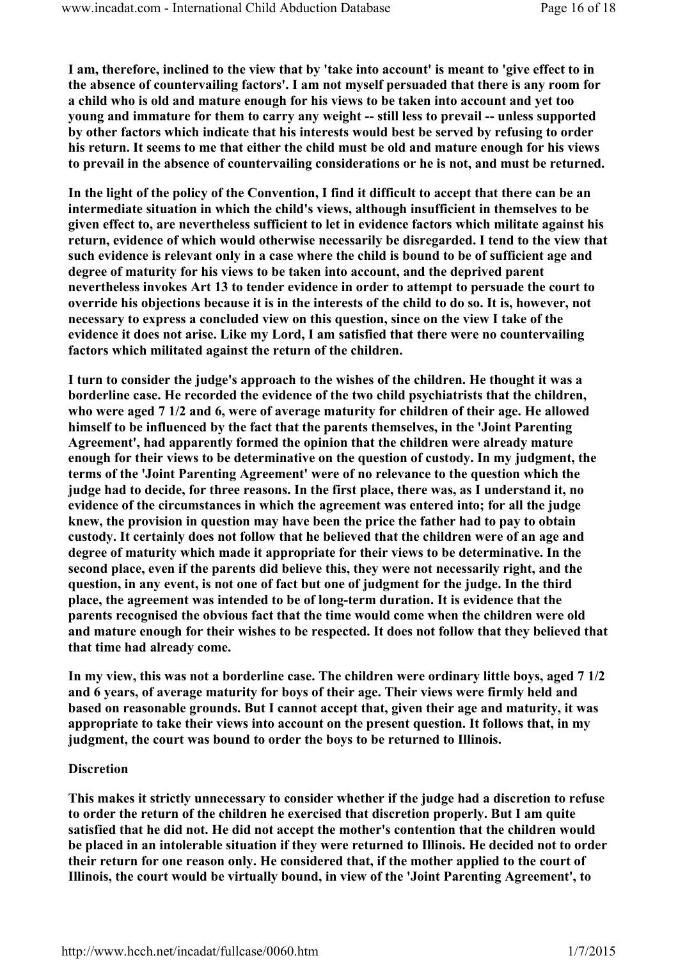I am, therefore, inclined to the view that by 'take into account' is meant to 'give effect to in the absence of countervailing factors'. I am not myself persuaded that there is any room for a child who is old and mature enough for his views to be taken into account and yet too young and immature for them to carry any weight -- still less to prevail -- unless supported by other factors which indicate that his interests would best be served by refusing to order his return. It seems to me that either the child must be old and mature enough for his views to prevail in the absence of countervailing considerations or he is not, and must be returned.

In the light of the policy of the Convention, I find it difficult to accept that there can be an intermediate situation in which the child's views, although insufficient in themselves to be given effect to, are nevertheless sufficient to let in evidence factors which militate against his return, evidence of which would otherwise necessarily be disregarded. I tend to the view that such evidence is relevant only in a case where the child is bound to be of sufficient age and degree of maturity for his views to be taken into account, and the deprived parent nevertheless invokes Art 13 to tender evidence in order to attempt to persuade the court to override his objections because it is in the interests of the child to do so. It is, however, not necessary to express a concluded view on this question, since on the view I take of the evidence it does not arise. Like my Lord, I am satisfied that there were no countervailing factors which militated against the return of the children.

I turn to consider the judge's approach to the wishes of the children. He thought it was a borderline case. He recorded the evidence of the two child psychiatrists that the children, who were aged 7 1/2 and 6, were of average maturity for children of their age. He allowed himself to be influenced by the fact that the parents themselves, in the 'Joint Parenting Agreement', had apparently formed the opinion that the children were already mature enough for their views to be determinative on the question of custody. In my judgment, the terms of the 'Joint Parenting Agreement' were of no relevance to the question which the judge had to decide, for three reasons. In the first place, there was, as I understand it, no evidence of the circumstances in which the agreement was entered into; for all the judge knew, the provision in question may have been the price the father had to pay to obtain custody. It certainly does not follow that he believed that the children were of an age and degree of maturity which made it appropriate for their views to be determinative. In the second place, even if the parents did believe this, they were not necessarily right, and the question, in any event, is not one of fact but one of judgment for the judge. In the third place, the agreement was intended to be of long-term duration. It is evidence that the parents recognised the obvious fact that the time would come when the children were old and mature enough for their wishes to be respected. It does not follow that they believed that that time had already come.

In my view, this was not a borderline case. The children were ordinary little boys, aged 7 1/2 and 6 years, of average maturity for boys of their age. Their views were firmly held and based on reasonable grounds. But I cannot accept that, given their age and maturity, it was appropriate to take their views into account on the present question. It follows that, in my judgment, the court was bound to order the boys to be returned to Illinois.

## **Discretion**

This makes it strictly unnecessary to consider whether if the judge had a discretion to refuse to order the return of the children he exercised that discretion properly. But I am quite satisfied that he did not. He did not accept the mother's contention that the children would be placed in an intolerable situation if they were returned to Illinois. He decided not to order their return for one reason only. He considered that, if the mother applied to the court of Illinois, the court would be virtually bound, in view of the 'Joint Parenting Agreement', to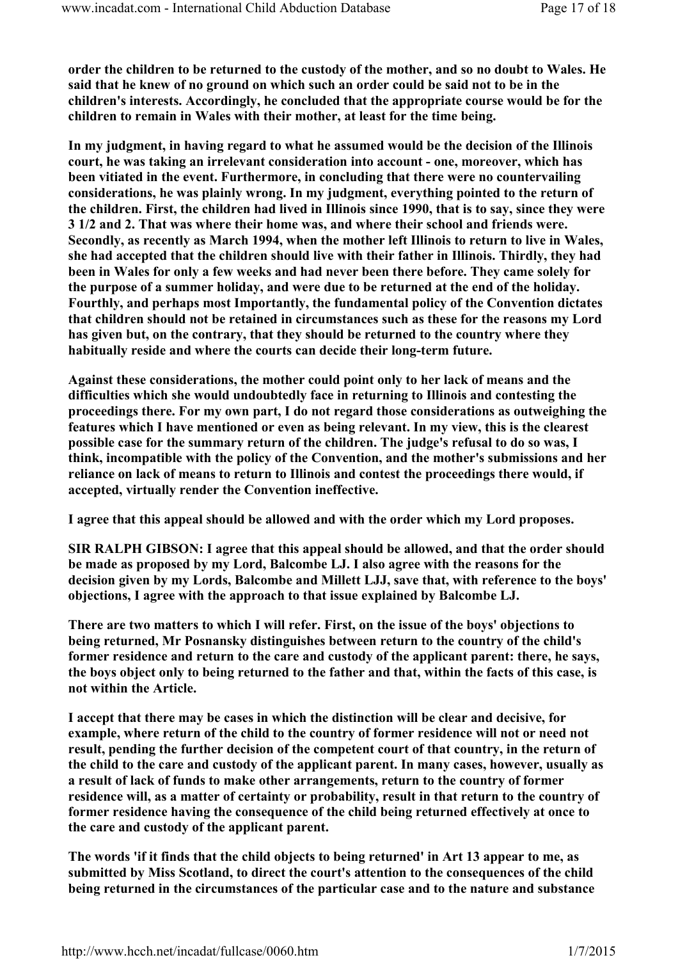order the children to be returned to the custody of the mother, and so no doubt to Wales. He said that he knew of no ground on which such an order could be said not to be in the children's interests. Accordingly, he concluded that the appropriate course would be for the children to remain in Wales with their mother, at least for the time being.

In my judgment, in having regard to what he assumed would be the decision of the Illinois court, he was taking an irrelevant consideration into account - one, moreover, which has been vitiated in the event. Furthermore, in concluding that there were no countervailing considerations, he was plainly wrong. In my judgment, everything pointed to the return of the children. First, the children had lived in Illinois since 1990, that is to say, since they were 3 1/2 and 2. That was where their home was, and where their school and friends were. Secondly, as recently as March 1994, when the mother left Illinois to return to live in Wales, she had accepted that the children should live with their father in Illinois. Thirdly, they had been in Wales for only a few weeks and had never been there before. They came solely for the purpose of a summer holiday, and were due to be returned at the end of the holiday. Fourthly, and perhaps most Importantly, the fundamental policy of the Convention dictates that children should not be retained in circumstances such as these for the reasons my Lord has given but, on the contrary, that they should be returned to the country where they habitually reside and where the courts can decide their long-term future.

Against these considerations, the mother could point only to her lack of means and the difficulties which she would undoubtedly face in returning to Illinois and contesting the proceedings there. For my own part, I do not regard those considerations as outweighing the features which I have mentioned or even as being relevant. In my view, this is the clearest possible case for the summary return of the children. The judge's refusal to do so was, I think, incompatible with the policy of the Convention, and the mother's submissions and her reliance on lack of means to return to Illinois and contest the proceedings there would, if accepted, virtually render the Convention ineffective.

I agree that this appeal should be allowed and with the order which my Lord proposes.

SIR RALPH GIBSON: I agree that this appeal should be allowed, and that the order should be made as proposed by my Lord, Balcombe LJ. I also agree with the reasons for the decision given by my Lords, Balcombe and Millett LJJ, save that, with reference to the boys' objections, I agree with the approach to that issue explained by Balcombe LJ.

There are two matters to which I will refer. First, on the issue of the boys' objections to being returned, Mr Posnansky distinguishes between return to the country of the child's former residence and return to the care and custody of the applicant parent: there, he says, the boys object only to being returned to the father and that, within the facts of this case, is not within the Article.

I accept that there may be cases in which the distinction will be clear and decisive, for example, where return of the child to the country of former residence will not or need not result, pending the further decision of the competent court of that country, in the return of the child to the care and custody of the applicant parent. In many cases, however, usually as a result of lack of funds to make other arrangements, return to the country of former residence will, as a matter of certainty or probability, result in that return to the country of former residence having the consequence of the child being returned effectively at once to the care and custody of the applicant parent.

The words 'if it finds that the child objects to being returned' in Art 13 appear to me, as submitted by Miss Scotland, to direct the court's attention to the consequences of the child being returned in the circumstances of the particular case and to the nature and substance